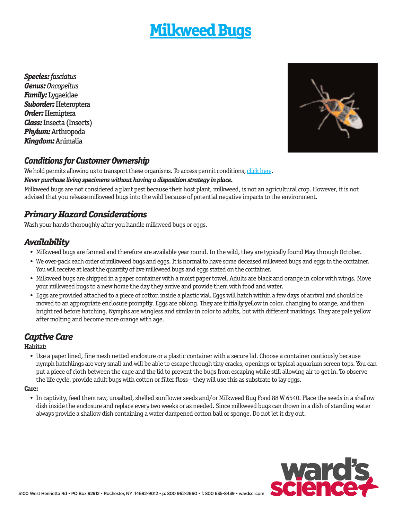# **[Milkweed Bugs](http://wardsci.com/product.asp?pn=IG0013504&cm_mmc=WA-_-Live-_-Permits-_-MilkweedBugs)**

*Species: fasciatus Genus: Oncopeltus Family:* Lygaeidae *Suborder:* Heteroptera *Order:* Hemiptera *Class:* Insecta (Insects) *Phylum:* Arthropoda *Kingdom:* Animalia



### *Conditions for Customer Ownership*

We hold permits allowing us to transport these organisms. To access permit conditions, [click here.](http://wardsci.com/livepermits)

#### **Never purchase living specimens without having a disposition strategy in place.**

Milkweed bugs are not considered a plant pest because their host plant, milkweed, is not an agricultural crop. However, it is not advised that you release milkweed bugs into the wild because of potential negative impacts to the environment.

### *Primary Hazard Considerations*

Wash your hands thoroughly after you handle milkweed bugs or eggs.

### *Availability*

- Milkweed bugs are farmed and therefore are available year round. In the wild, they are typically found May through October.
- We over-pack each order of milkweed bugs and eggs. It is normal to have some deceased milkweed bugs and eggs in the container. You will receive at least the quantity of live milkweed bugs and eggs stated on the container.
- Milkweed bugs are shipped in a paper container with a moist paper towel. Adults are black and orange in color with wings. Move your milkweed bugs to a new home the day they arrive and provide them with food and water.
- Eggs are provided attached to a piece of cotton inside a plastic vial. Eggs will hatch within a few days of arrival and should be moved to an appropriate enclosure promptly. Eggs are oblong. They are initially yellow in color, changing to orange, and then bright red before hatching. Nymphs are wingless and similar in color to adults, but with different markings. They are pale yellow after molting and become more orange with age.

### *Captive Care*

#### **Habitat:**

• Use a paper lined, fine mesh netted enclosure or a plastic container with a secure lid. Choose a container cautiously because nymph hatchlings are very small and will be able to escape through tiny cracks, openings or typical aquarium screen tops. You can put a piece of cloth between the cage and the lid to prevent the bugs from escaping while still allowing air to get in. To observe the life cycle, provide adult bugs with cotton or filter floss—they will use this as substrate to lay eggs.

#### **Care:**

• In captivity, feed them raw, unsalted, shelled sunflower seeds and/or Milkweed Bug Food 88 W 6540. Place the seeds in a shallow dish inside the enclosure and replace every two weeks or as needed. Since milkweed bugs can drown in a dish of standing water always provide a shallow dish containing a water dampened cotton ball or sponge. Do not let it dry out.